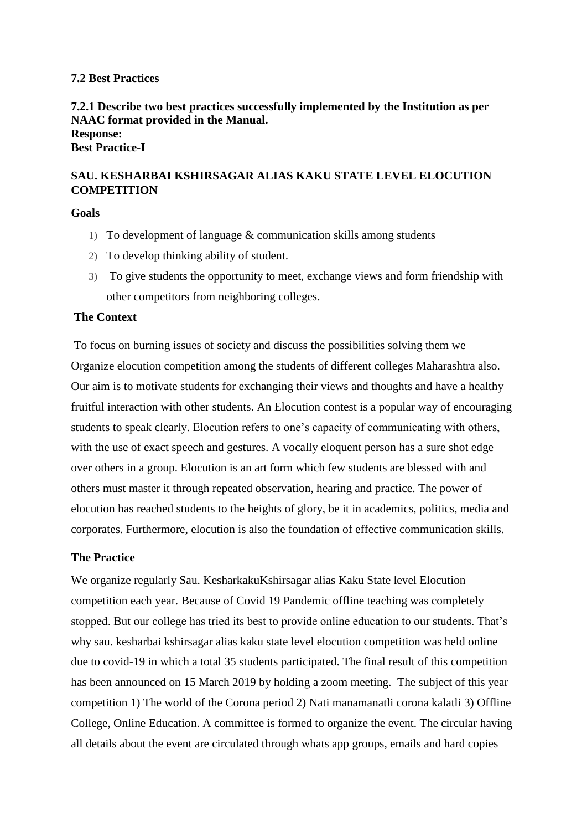#### **7.2 Best Practices**

## **7.2.1 Describe two best practices successfully implemented by the Institution as per NAAC format provided in the Manual. Response:**

**Best Practice-I** 

# **SAU. KESHARBAI KSHIRSAGAR ALIAS KAKU STATE LEVEL ELOCUTION COMPETITION**

**Goals**

- 1) To development of language  $&$  communication skills among students
- 2) To develop thinking ability of student.
- 3) To give students the opportunity to meet, exchange views and form friendship with other competitors from neighboring colleges.

## **The Context**

To focus on burning issues of society and discuss the possibilities solving them we Organize elocution competition among the students of different colleges Maharashtra also. Our aim is to motivate students for exchanging their views and thoughts and have a healthy fruitful interaction with other students. An Elocution contest is a popular way of encouraging students to speak clearly. Elocution refers to one's capacity of communicating with others, with the use of exact speech and gestures. A vocally eloquent person has a sure shot edge over others in a group. Elocution is an art form which few students are blessed with and others must master it through repeated observation, hearing and practice. The power of elocution has reached students to the heights of glory, be it in academics, politics, media and corporates. Furthermore, elocution is also the foundation of effective communication skills.

## **The Practice**

We organize regularly Sau. KesharkakuKshirsagar alias Kaku State level Elocution competition each year. Because of Covid 19 Pandemic offline teaching was completely stopped. But our college has tried its best to provide online education to our students. That's why sau. kesharbai kshirsagar alias kaku state level elocution competition was held online due to covid-19 in which a total 35 students participated. The final result of this competition has been announced on 15 March 2019 by holding a zoom meeting. The subject of this year competition 1) The world of the Corona period 2) Nati manamanatli corona kalatli 3) Offline College, Online Education. A committee is formed to organize the event. The circular having all details about the event are circulated through whats app groups, emails and hard copies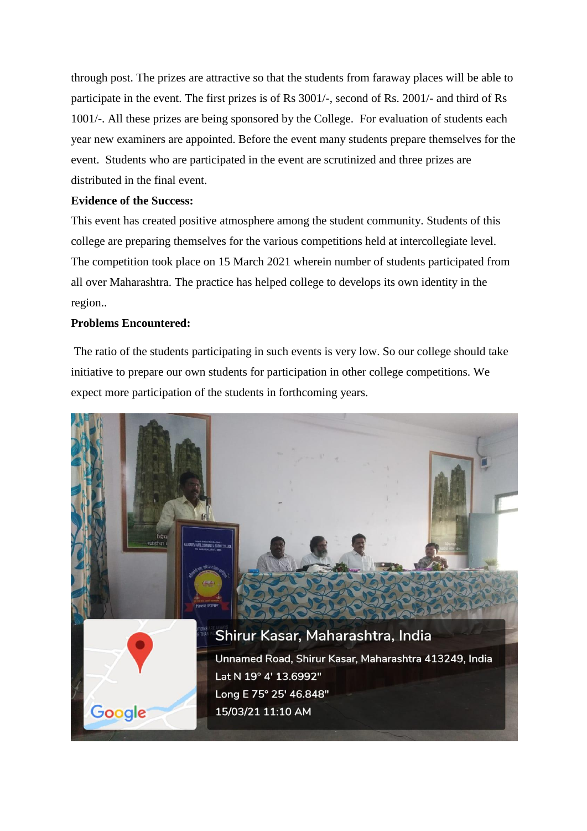through post. The prizes are attractive so that the students from faraway places will be able to participate in the event. The first prizes is of Rs 3001/-, second of Rs. 2001/- and third of Rs 1001/-. All these prizes are being sponsored by the College. For evaluation of students each year new examiners are appointed. Before the event many students prepare themselves for the event. Students who are participated in the event are scrutinized and three prizes are distributed in the final event.

## **Evidence of the Success:**

This event has created positive atmosphere among the student community. Students of this college are preparing themselves for the various competitions held at intercollegiate level. The competition took place on 15 March 2021 wherein number of students participated from all over Maharashtra. The practice has helped college to develops its own identity in the region..

## **Problems Encountered:**

The ratio of the students participating in such events is very low. So our college should take initiative to prepare our own students for participation in other college competitions. We expect more participation of the students in forthcoming years.

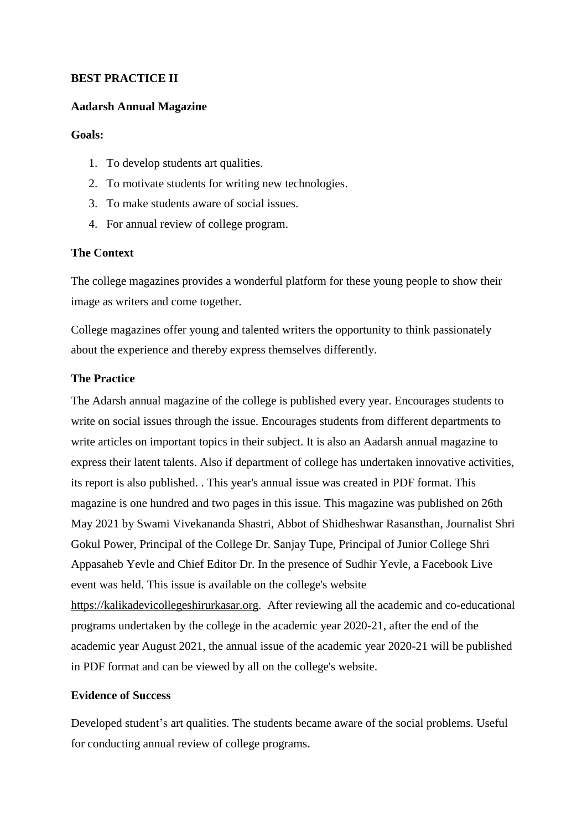## **BEST PRACTICE II**

#### **Aadarsh Annual Magazine**

#### **Goals:**

- 1. To develop students art qualities.
- 2. To motivate students for writing new technologies.
- 3. To make students aware of social issues.
- 4. For annual review of college program.

## **The Context**

The college magazines provides a wonderful platform for these young people to show their image as writers and come together.

College magazines offer young and talented writers the opportunity to think passionately about the experience and thereby express themselves differently.

## **The Practice**

The Adarsh annual magazine of the college is published every year. Encourages students to write on social issues through the issue. Encourages students from different departments to write articles on important topics in their subject. It is also an Aadarsh annual magazine to express their latent talents. Also if department of college has undertaken innovative activities, its report is also published. . This year's annual issue was created in PDF format. This magazine is one hundred and two pages in this issue. This magazine was published on 26th May 2021 by Swami Vivekananda Shastri, Abbot of Shidheshwar Rasansthan, Journalist Shri Gokul Power, Principal of the College Dr. Sanjay Tupe, Principal of Junior College Shri Appasaheb Yevle and Chief Editor Dr. In the presence of Sudhir Yevle, a Facebook Live event was held. This issue is available on the college's website [https://kalikadevicollegeshirurkasar.org.](https://kalikadevicollegeshirurkasar.org/) After reviewing all the academic and co-educational programs undertaken by the college in the academic year 2020-21, after the end of the academic year August 2021, the annual issue of the academic year 2020-21 will be published in PDF format and can be viewed by all on the college's website.

#### **Evidence of Success**

Developed student's art qualities. The students became aware of the social problems. Useful for conducting annual review of college programs.